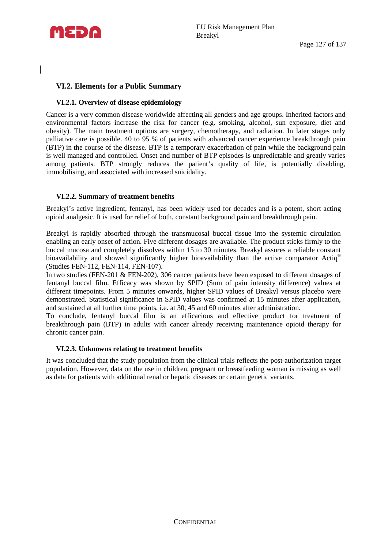

## **VI.2. Elements for a Public Summary**

#### **VI.2.1. Overview of disease epidemiology**

Cancer is a very common disease worldwide affecting all genders and age groups. Inherited factors and environmental factors increase the risk for cancer (e.g. smoking, alcohol, sun exposure, diet and obesity). The main treatment options are surgery, chemotherapy, and radiation. In later stages only palliative care is possible. 40 to 95 % of patients with advanced cancer experience breakthrough pain (BTP) in the course of the disease. BTP is a temporary exacerbation of pain while the background pain is well managed and controlled. Onset and number of BTP episodes is unpredictable and greatly varies among patients. BTP strongly reduces the patient's quality of life, is potentially disabling, immobilising, and associated with increased suicidality.

#### **VI.2.2. Summary of treatment benefits**

Breakyl's active ingredient, fentanyl, has been widely used for decades and is a potent, short acting opioid analgesic. It is used for relief of both, constant background pain and breakthrough pain.

Breakyl is rapidly absorbed through the transmucosal buccal tissue into the systemic circulation enabling an early onset of action. Five different dosages are available. The product sticks firmly to the buccal mucosa and completely dissolves within 15 to 30 minutes. Breakyl assures a reliable constant bioavailability and showed significantly higher bioavailability than the active comparator Actiq<sup>®</sup> (Studies FEN-112, FEN-114, FEN-107).

In two studies (FEN-201 & FEN-202), 306 cancer patients have been exposed to different dosages of fentanyl buccal film. Efficacy was shown by SPID (Sum of pain intensity difference) values at different timepoints. From 5 minutes onwards, higher SPID values of Breakyl versus placebo were demonstrated. Statistical significance in SPID values was confirmed at 15 minutes after application, and sustained at all further time points, i.e. at 30, 45 and 60 minutes after administration.

To conclude, fentanyl buccal film is an efficacious and effective product for treatment of breakthrough pain (BTP) in adults with cancer already receiving maintenance opioid therapy for chronic cancer pain.

#### **VI.2.3. Unknowns relating to treatment benefits**

It was concluded that the study population from the clinical trials reflects the post-authorization target population. However, data on the use in children, pregnant or breastfeeding woman is missing as well as data for patients with additional renal or hepatic diseases or certain genetic variants.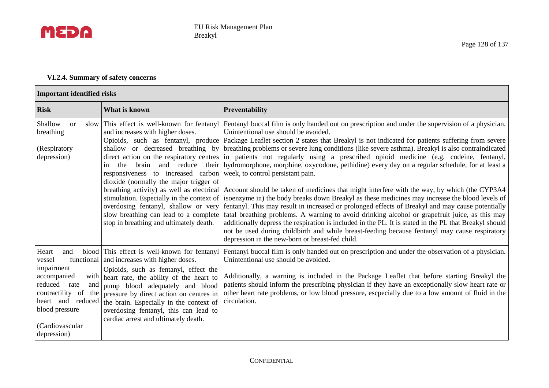

## **VI.2.4. Summary of safety concerns**

| <b>Important identified risks</b>                                                                                                                   |                                                                                                                                                                                                                                                                                                                                                                                                                     |                                                                                                                                                                                                                                                                                                                                                                                                                                                                                                                                                                                                                                                                                                                                                                                                                                                                                                                                                                                                                                                                                                                                                                                                                                                                                                                                                                                                                                                                                                                    |  |
|-----------------------------------------------------------------------------------------------------------------------------------------------------|---------------------------------------------------------------------------------------------------------------------------------------------------------------------------------------------------------------------------------------------------------------------------------------------------------------------------------------------------------------------------------------------------------------------|--------------------------------------------------------------------------------------------------------------------------------------------------------------------------------------------------------------------------------------------------------------------------------------------------------------------------------------------------------------------------------------------------------------------------------------------------------------------------------------------------------------------------------------------------------------------------------------------------------------------------------------------------------------------------------------------------------------------------------------------------------------------------------------------------------------------------------------------------------------------------------------------------------------------------------------------------------------------------------------------------------------------------------------------------------------------------------------------------------------------------------------------------------------------------------------------------------------------------------------------------------------------------------------------------------------------------------------------------------------------------------------------------------------------------------------------------------------------------------------------------------------------|--|
| <b>Risk</b>                                                                                                                                         | What is known                                                                                                                                                                                                                                                                                                                                                                                                       | <b>Preventability</b>                                                                                                                                                                                                                                                                                                                                                                                                                                                                                                                                                                                                                                                                                                                                                                                                                                                                                                                                                                                                                                                                                                                                                                                                                                                                                                                                                                                                                                                                                              |  |
| Shallow<br><sub>or</sub><br>breathing<br>(Respiratory<br>depression)                                                                                | and increases with higher doses.<br>the brain and reduce<br>in<br>responsiveness to increased carbon week, to control persistant pain.<br>dioxide (normally the major trigger of<br>overdosing fentanyl, shallow or very<br>stop in breathing and ultimately death.                                                                                                                                                 | slow This effect is well-known for fentanyl Fentanyl buccal film is only handed out on prescription and under the supervision of a physician.<br>Unintentional use should be avoided.<br>Opioids, such as fentanyl, produce Package Leaflet section 2 states that Breakyl is not indicated for patients suffering from severe<br>shallow or decreased breathing by breathing problems or severe lung conditions (like severe asthma). Breakyl is also contraindicated<br>direct action on the respiratory centres in patients not regularly using a prescribed opioid medicine (e.g. codeine, fentanyl,<br>their   hydromorphone, morphine, oxycodone, pethidine) every day on a regular schedule, for at least a<br>breathing activity) as well as electrical Account should be taken of medicines that might interfere with the way, by which (the CYP3A4<br>stimulation. Especially in the context of (isoenzyme in) the body breaks down Breakyl as these medicines may increase the blood levels of<br>fentanyl. This may result in increased or prolonged effects of Breakyl and may cause potentially<br>slow breathing can lead to a complete fatal breathing problems. A warning to avoid drinking alcohol or grapefruit juice, as this may<br>additionally depress the respiration is included in the PL. It is stated in the PL that Breakyl should<br>not be used during childbirth and while breast-feeding because fentanyl may cause respiratory<br>depression in the new-born or breast-fed child. |  |
| Heart<br>and<br>vessel<br>impairment<br>accompanied<br>reduced rate<br>and<br>heart and reduced<br>blood pressure<br>(Cardiovascular<br>depression) | blood This effect is well-known for fentanyl<br>functional and increases with higher doses.<br>Opioids, such as fentanyl, effect the<br>with heart rate, the ability of the heart to<br>pump blood adequately and blood<br>contractility of the pressure by direct action on centres in<br>the brain. Especially in the context of<br>overdosing fentanyl, this can lead to<br>cardiac arrest and ultimately death. | Fentanyl buccal film is only handed out on prescription and under the observation of a physician.<br>Unintentional use should be avoided.<br>Additionally, a warning is included in the Package Leaflet that before starting Breakyl the<br>patients should inform the prescribing physician if they have an exceptionally slow heart rate or<br>other heart rate problems, or low blood pressure, escpecially due to a low amount of fluid in the<br>circulation.                                                                                                                                                                                                                                                                                                                                                                                                                                                                                                                                                                                                                                                                                                                                                                                                                                                                                                                                                                                                                                                 |  |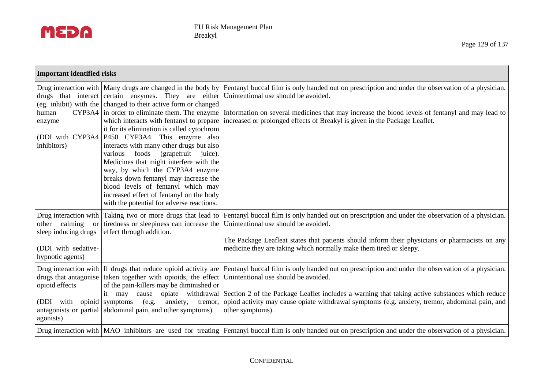

| <b>Important identified risks</b>                                                                                      |                                                                                                                                                                                                                                                                                                                                                                                                                                                                                                                                                                                                                |                                                                                                                                                                                                                                                                                                                                                                                                                                       |  |
|------------------------------------------------------------------------------------------------------------------------|----------------------------------------------------------------------------------------------------------------------------------------------------------------------------------------------------------------------------------------------------------------------------------------------------------------------------------------------------------------------------------------------------------------------------------------------------------------------------------------------------------------------------------------------------------------------------------------------------------------|---------------------------------------------------------------------------------------------------------------------------------------------------------------------------------------------------------------------------------------------------------------------------------------------------------------------------------------------------------------------------------------------------------------------------------------|--|
| human<br>enzyme<br>inhibitors)                                                                                         | drugs that interact certain enzymes. They are either Unintentional use should be avoided.<br>(eg. inhibit) with the changed to their active form or changed<br>it for its elimination is called cytochrom<br>(DDI with CYP3A4   P450 CYP3A4. This enzyme also<br>interacts with many other drugs but also<br>foods<br>(grapefruit)<br>juice).<br>various<br>Medicines that might interfere with the<br>way, by which the CYP3A4 enzyme<br>breaks down fentanyl may increase the<br>blood levels of fentanyl which may<br>increased effect of fentanyl on the body<br>with the potential for adverse reactions. | Drug interaction with Many drugs are changed in the body by Fentanyl buccal film is only handed out on prescription and under the observation of a physician.<br>CYP3A4 in order to eliminate them. The enzyme Information on several medicines that may increase the blood levels of fentanyl and may lead to<br>which interacts with fentanyl to prepare increased or prolonged effects of Breakyl is given in the Package Leaflet. |  |
| Drug interaction with<br>other calming<br><b>or</b><br>sleep inducing drugs<br>(DDI with sedative-<br>hypnotic agents) | Taking two or more drugs that lead to<br>tiredness or sleepiness can increase the<br>effect through addition.                                                                                                                                                                                                                                                                                                                                                                                                                                                                                                  | Fentanyl buccal film is only handed out on prescription and under the observation of a physician.<br>Unintentional use should be avoided.<br>The Package Leafleat states that patients should inform their physicians or pharmacists on any<br>medicine they are taking which normally make them tired or sleepy.                                                                                                                     |  |
| opioid effects<br>(DDI with<br>agonists)                                                                               | drugs that antagonise taken together with opioids, the effect Unintentional use should be avoided.<br>of the pain-killers may be diminished or<br>may cause<br>it<br>opioid symptoms<br>(e.g.<br>anxiety,<br>tremor,<br>antagonists or partial abdominal pain, and other symptoms).                                                                                                                                                                                                                                                                                                                            | Drug interaction with If drugs that reduce opioid activity are Fentanyl buccal film is only handed out on prescription and under the observation of a physician.<br>opiate withdrawal Section 2 of the Package Leaflet includes a warning that taking active substances which reduce<br>opiod activity may cause opiate withdrawal symptoms (e.g. anxiety, tremor, abdominal pain, and<br>other symptoms).                            |  |
|                                                                                                                        |                                                                                                                                                                                                                                                                                                                                                                                                                                                                                                                                                                                                                | Drug interaction with  MAO inhibitors are used for treating  Fentanyl buccal film is only handed out on prescription and under the observation of a physician.                                                                                                                                                                                                                                                                        |  |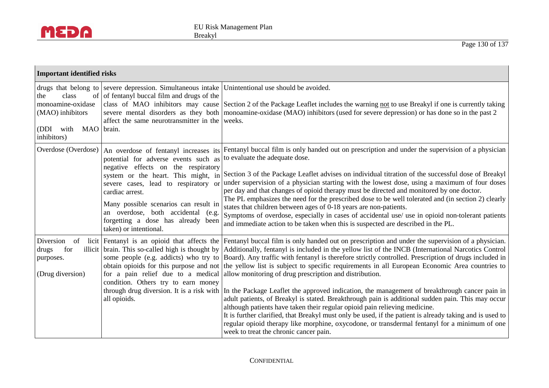

|                                                                                                 | <b>Important identified risks</b>                                                                                                                                                                                                                                                                                                                                     |                                                                                                                                                                                                                                                                                                                                                                                                                                                                                                                                                                                                                                                                                                                                                                                                                                                                                                                                                                                                                                                                                                                                                                                                                                                                                       |  |  |
|-------------------------------------------------------------------------------------------------|-----------------------------------------------------------------------------------------------------------------------------------------------------------------------------------------------------------------------------------------------------------------------------------------------------------------------------------------------------------------------|---------------------------------------------------------------------------------------------------------------------------------------------------------------------------------------------------------------------------------------------------------------------------------------------------------------------------------------------------------------------------------------------------------------------------------------------------------------------------------------------------------------------------------------------------------------------------------------------------------------------------------------------------------------------------------------------------------------------------------------------------------------------------------------------------------------------------------------------------------------------------------------------------------------------------------------------------------------------------------------------------------------------------------------------------------------------------------------------------------------------------------------------------------------------------------------------------------------------------------------------------------------------------------------|--|--|
| class<br>the<br>monoamine-oxidase<br>(MAO) inhibitors<br>(DDI with<br>MAO brain.<br>inhibitors) | drugs that belong to severe depression. Simultaneous intake   Unintentional use should be avoided.<br>of of fentanyl buccal film and drugs of the<br>affect the same neurotransmitter in the weeks.                                                                                                                                                                   | class of MAO inhibitors may cause Section 2 of the Package Leaflet includes the warning not to use Breakyl if one is currently taking<br>severe mental disorders as they both   monoamine-oxidase (MAO) inhibitors (used for severe depression) or has done so in the past 2                                                                                                                                                                                                                                                                                                                                                                                                                                                                                                                                                                                                                                                                                                                                                                                                                                                                                                                                                                                                          |  |  |
| Overdose (Overdose)                                                                             | An overdose of fentanyl increases its<br>potential for adverse events such as<br>negative effects on the respiratory<br>system or the heart. This might, in<br>severe cases, lead to respiratory or<br>cardiac arrest.<br>Many possible scenarios can result in<br>an overdose, both accidental (e.g.<br>forgetting a dose has already been<br>taken) or intentional. | Fentanyl buccal film is only handed out on prescription and under the supervision of a physician<br>to evaluate the adequate dose.<br>Section 3 of the Package Leaflet advises on individual titration of the successful dose of Breakyl<br>under supervision of a physician starting with the lowest dose, using a maximum of four doses<br>per day and that changes of opioid therapy must be directed and monitored by one doctor.<br>The PL emphasizes the need for the prescribed dose to be well tolerated and (in section 2) clearly<br>states that children between ages of 0-18 years are non-patients.<br>Symptoms of overdose, especially in cases of accidental use/ use in opioid non-tolerant patients<br>and immediate action to be taken when this is suspected are described in the PL.                                                                                                                                                                                                                                                                                                                                                                                                                                                                              |  |  |
| Diversion of<br>drugs<br>for<br>purposes.<br>(Drug diversion)                                   | condition. Others try to earn money<br>all opioids.                                                                                                                                                                                                                                                                                                                   | licit Fentanyl is an opioid that affects the Fentanyl buccal film is only handed out on prescription and under the supervision of a physician.<br>illicit   brain. This so-called high is thought by   Additionally, fentanyl is included in the yellow list of the INCB (International Narcotics Control<br>some people (e.g. addicts) who try to Board). Any traffic with fentanyl is therefore strictly controlled. Prescription of drugs included in<br>obtain opioids for this purpose and not the yellow list is subject to specific requirements in all European Economic Area countries to<br>for a pain relief due to a medical allow monitoring of drug prescription and distribution.<br>through drug diversion. It is a risk with In the Package Leaflet the approved indication, the management of breakthrough cancer pain in<br>adult patients, of Breakyl is stated. Breakthrough pain is additional sudden pain. This may occur<br>although patients have taken their regular opioid pain relieving medicine.<br>It is further clarified, that Breakyl must only be used, if the patient is already taking and is used to<br>regular opioid therapy like morphine, oxycodone, or transdermal fentanyl for a minimum of one<br>week to treat the chronic cancer pain. |  |  |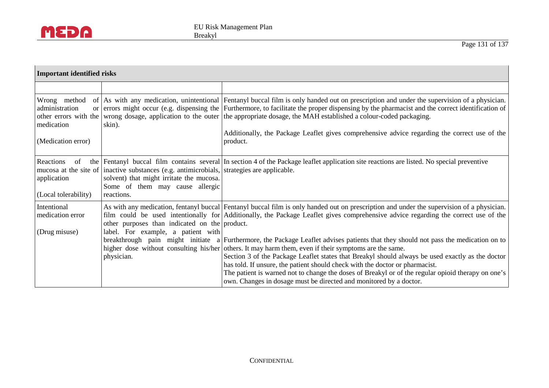

| <b>Important identified risks</b>                                                           |                                                                                                                                                                                         |                                                                                                                                                                                                                                                                                                                                                                                                                                                                                                                                                                                                                                     |  |
|---------------------------------------------------------------------------------------------|-----------------------------------------------------------------------------------------------------------------------------------------------------------------------------------------|-------------------------------------------------------------------------------------------------------------------------------------------------------------------------------------------------------------------------------------------------------------------------------------------------------------------------------------------------------------------------------------------------------------------------------------------------------------------------------------------------------------------------------------------------------------------------------------------------------------------------------------|--|
|                                                                                             |                                                                                                                                                                                         |                                                                                                                                                                                                                                                                                                                                                                                                                                                                                                                                                                                                                                     |  |
| Wrong method<br>administration<br>other errors with the<br>medication<br>(Medication error) | skin).                                                                                                                                                                                  | of As with any medication, unintentional Fentanyl buccal film is only handed out on prescription and under the supervision of a physician.<br>or errors might occur (e.g. dispensing the Furthermore, to facilitate the proper dispensing by the pharmacist and the correct identification of<br>wrong dosage, application to the outer the appropriate dosage, the MAH established a colour-coded packaging.<br>Additionally, the Package Leaflet gives comprehensive advice regarding the correct use of the<br>product.                                                                                                          |  |
| Reactions<br>of<br>application<br>(Local tolerability)                                      | mucosa at the site of inactive substances (e.g. antimicrobials, strategies are applicable.<br>solvent) that might irritate the mucosa.<br>Some of them may cause allergic<br>reactions. | the Fentanyl buccal film contains several In section 4 of the Package leaflet application site reactions are listed. No special preventive                                                                                                                                                                                                                                                                                                                                                                                                                                                                                          |  |
| Intentional<br>medication error<br>(Drug misuse)                                            | other purposes than indicated on the product.<br>label. For example, a patient with<br>physician.                                                                                       | As with any medication, fentanyl buccal Fentanyl buccal film is only handed out on prescription and under the supervision of a physician.<br>film could be used intentionally for Additionally, the Package Leaflet gives comprehensive advice regarding the correct use of the<br>breakthrough pain might initiate a Furthermore, the Package Leaflet advises patients that they should not pass the medication on to<br>higher dose without consulting his/her others. It may harm them, even if their symptoms are the same.<br>Section 3 of the Package Leaflet states that Breakyl should always be used exactly as the doctor |  |
|                                                                                             |                                                                                                                                                                                         | has told. If unsure, the patient should check with the doctor or pharmacist.<br>The patient is warned not to change the doses of Breakyl or of the regular opioid therapy on one's<br>own. Changes in dosage must be directed and monitored by a doctor.                                                                                                                                                                                                                                                                                                                                                                            |  |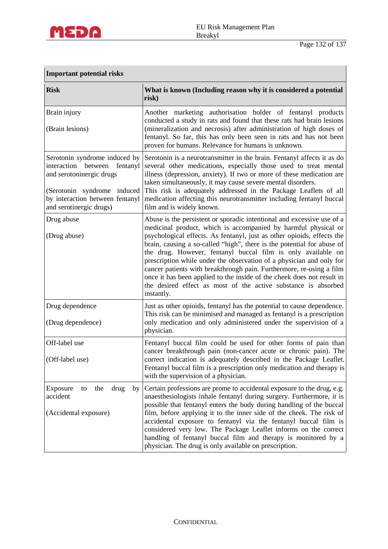

| <b>Important potential risks</b>                                                                                                                                                             |                                                                                                                                                                                                                                                                                                                                                                                                                                                                                                                                                                                                                                                                        |  |
|----------------------------------------------------------------------------------------------------------------------------------------------------------------------------------------------|------------------------------------------------------------------------------------------------------------------------------------------------------------------------------------------------------------------------------------------------------------------------------------------------------------------------------------------------------------------------------------------------------------------------------------------------------------------------------------------------------------------------------------------------------------------------------------------------------------------------------------------------------------------------|--|
| <b>Risk</b>                                                                                                                                                                                  | What is known (Including reason why it is considered a potential<br>risk)                                                                                                                                                                                                                                                                                                                                                                                                                                                                                                                                                                                              |  |
| Brain injury<br>(Brain lesions)                                                                                                                                                              | Another marketing authorisation holder of fentanyl products<br>conducted a study in rats and found that these rats had brain lesions<br>(mineralization and necrosis) after administration of high doses of<br>fentanyl. So far, this has only been seen in rats and has not been<br>proven for humans. Relevance for humans is unknown.                                                                                                                                                                                                                                                                                                                               |  |
| Serotonin syndrome induced by<br>interaction<br>between<br>fentanyl<br>and serotoninergic drugs<br>(Serotonin syndrome induced<br>by interaction between fentanyl<br>and serotinergic drugs) | Serotonin is a neurotransmitter in the brain. Fentanyl affects it as do<br>several other medications, especially those used to treat mental<br>illness (depression, anxiety). If two or more of these medication are<br>taken simultaneously, it may cause severe mental disorders.<br>This risk is adequately addressed in the Package Leaflets of all<br>medication affecting this neurotransmitter including fentanyl buccal<br>film and is widely known.                                                                                                                                                                                                           |  |
| Drug abuse<br>(Drug abuse)                                                                                                                                                                   | Abuse is the persistent or sporadic intentional and excessive use of a<br>medicinal product, which is accompanied by harmful physical or<br>psychological effects. As fentanyl, just as other opioids, effects the<br>brain, causing a so-called "high", there is the potential for abuse of<br>the drug. However, fentanyl buccal film is only available on<br>prescription while under the observation of a physician and only for<br>cancer patients with breakthrough pain. Furthermore, re-using a film<br>once it has been applied to the inside of the cheek does not result in<br>the desired effect as most of the active substance is absorbed<br>instantly. |  |
| Drug dependence<br>(Drug dependence)                                                                                                                                                         | Just as other opioids, fentanyl has the potential to cause dependence.<br>This risk can be minimised and managed as fentanyl is a prescription<br>only medication and only administered under the supervision of a<br>physician.                                                                                                                                                                                                                                                                                                                                                                                                                                       |  |
| Off-label use<br>(Off-label use)                                                                                                                                                             | Fentanyl buccal film could be used for other forms of pain than<br>cancer breakthrough pain (non-cancer acute or chronic pain). The<br>correct indication is adequately described in the Package Leaflet.<br>Fentanyl buccal film is a prescription only medication and therapy is<br>with the supervision of a physician.                                                                                                                                                                                                                                                                                                                                             |  |
| Exposure<br>the<br>drug<br>to<br>by<br>accident<br>(Accidental exposure)                                                                                                                     | Certain professions are prome to accidental exposure to the drug, e.g.<br>anaesthesiologists inhale fentanyl during surgery. Furthermore, it is<br>possible that fentanyl enters the body during handling of the buccal<br>film, before applying it to the inner side of the cheek. The risk of<br>accidental exposure to fentanyl via the fentanyl buccal film is<br>considered very low. The Package Leaflet informs on the correct<br>handling of fentanyl buccal film and therapy is monitored by a<br>physician. The drug is only available on prescription.                                                                                                      |  |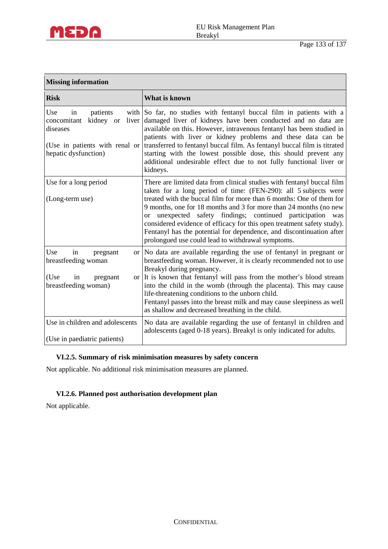

| <b>Missing information</b>                                                                                                       |                                                                                                                                                                                                                                                                                                                                                                                                                                                                                                                                                                      |  |  |
|----------------------------------------------------------------------------------------------------------------------------------|----------------------------------------------------------------------------------------------------------------------------------------------------------------------------------------------------------------------------------------------------------------------------------------------------------------------------------------------------------------------------------------------------------------------------------------------------------------------------------------------------------------------------------------------------------------------|--|--|
| <b>Risk</b>                                                                                                                      | What is known                                                                                                                                                                                                                                                                                                                                                                                                                                                                                                                                                        |  |  |
| Use<br>in<br>patients<br>kidney or<br>liver<br>concomitant<br>diseases<br>(Use in patients with renal or<br>hepatic dysfunction) | with So far, no studies with fentanyl buccal film in patients with a<br>damaged liver of kidneys have been conducted and no data are<br>available on this. However, intravenous fentanyl has been studied in<br>patients with liver or kidney problems and these data can be<br>transferred to fentanyl buccal film. As fentanyl buccal film is titrated<br>starting with the lowest possible dose, this should prevent any<br>additional undesirable effect due to not fully functional liver or<br>kidneys.                                                        |  |  |
| Use for a long period<br>(Long-term use)                                                                                         | There are limited data from clinical studies with fentanyl buccal film<br>taken for a long period of time: (FEN-290): all 5 subjects were<br>treated with the buccal film for more than 6 months: One of them for<br>9 months, one for 18 months and 3 for more than 24 months (no new<br>unexpected safety findings; continued participation was<br>$\alpha$<br>considered evidence of efficacy for this open treatment safety study).<br>Fentanyl has the potential for dependence, and discontinuation after<br>prolongued use could lead to withdrawal symptoms. |  |  |
| Use<br>in<br>pregnant<br>breastfeeding woman<br>(Use<br>in<br>pregnant<br>breastfeeding woman)                                   | or No data are available regarding the use of fentanyl in pregnant or<br>breastfeeding woman. However, it is clearly recommended not to use<br>Breakyl during pregnancy.<br>or It is known that fentanyl will pass from the mother's blood stream<br>into the child in the womb (through the placenta). This may cause<br>life-threatening conditions to the unborn child.<br>Fentanyl passes into the breast milk and may cause sleepiness as well<br>as shallow and decreased breathing in the child.                                                              |  |  |
| Use in children and adolescents<br>(Use in paediatric patients)                                                                  | No data are available regarding the use of fentanyl in children and<br>adolescents (aged 0-18 years). Breakyl is only indicated for adults.                                                                                                                                                                                                                                                                                                                                                                                                                          |  |  |

## **VI.2.5. Summary of risk minimisation measures by safety concern**

Not applicable. No additional risk minimisation measures are planned.

# **VI.2.6. Planned post authorisation development plan**

Not applicable.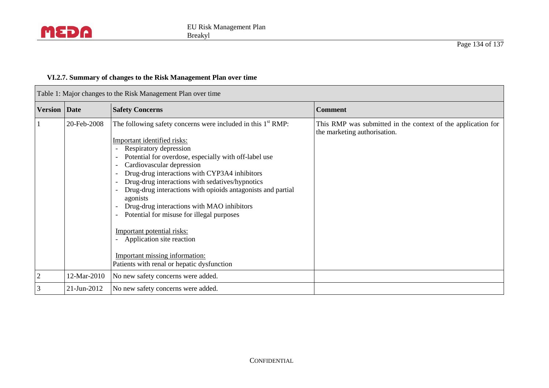

 $\mathbf{r}$ 

## **VI.2.7. Summary of changes to the Risk Management Plan over time**

| Table 1: Major changes to the Risk Management Plan over time |             |                                                                                                                                                                                                                                                                                                                                                                                                                                                                                                                                                                                                                                     |                                                                                              |
|--------------------------------------------------------------|-------------|-------------------------------------------------------------------------------------------------------------------------------------------------------------------------------------------------------------------------------------------------------------------------------------------------------------------------------------------------------------------------------------------------------------------------------------------------------------------------------------------------------------------------------------------------------------------------------------------------------------------------------------|----------------------------------------------------------------------------------------------|
| <b>Version</b> Date                                          |             | <b>Safety Concerns</b>                                                                                                                                                                                                                                                                                                                                                                                                                                                                                                                                                                                                              | <b>Comment</b>                                                                               |
|                                                              | 20-Feb-2008 | The following safety concerns were included in this $1st RMP$ :<br>Important identified risks:<br>Respiratory depression<br>Potential for overdose, especially with off-label use<br>Cardiovascular depression<br>Drug-drug interactions with CYP3A4 inhibitors<br>Drug-drug interactions with sedatives/hypnotics<br>Drug-drug interactions with opioids antagonists and partial<br>agonists<br>Drug-drug interactions with MAO inhibitors<br>Potential for misuse for illegal purposes<br>Important potential risks:<br>Application site reaction<br>Important missing information:<br>Patients with renal or hepatic dysfunction | This RMP was submitted in the context of the application for<br>the marketing authorisation. |
| $\overline{2}$                                               | 12-Mar-2010 | No new safety concerns were added.                                                                                                                                                                                                                                                                                                                                                                                                                                                                                                                                                                                                  |                                                                                              |
| 3                                                            | 21-Jun-2012 | No new safety concerns were added.                                                                                                                                                                                                                                                                                                                                                                                                                                                                                                                                                                                                  |                                                                                              |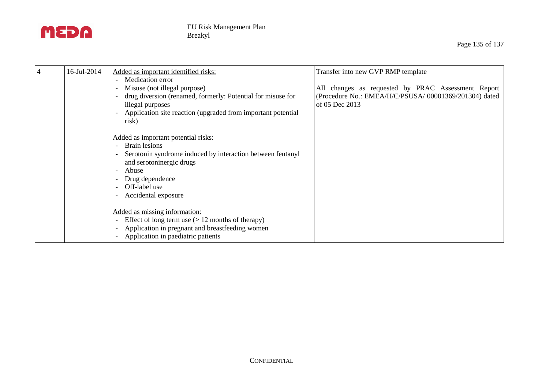

| $\overline{4}$ | 16-Jul-2014 | Added as important identified risks:                                                                                                                                                                               | Transfer into new GVP RMP template                                                                                             |
|----------------|-------------|--------------------------------------------------------------------------------------------------------------------------------------------------------------------------------------------------------------------|--------------------------------------------------------------------------------------------------------------------------------|
|                |             | Medication error<br>Misuse (not illegal purpose)<br>drug diversion (renamed, formerly: Potential for misuse for<br>illegal purposes<br>Application site reaction (upgraded from important potential<br>risk)       | All changes as requested by PRAC Assessment Report<br>(Procedure No.: EMEA/H/C/PSUSA/ 00001369/201304) dated<br>of 05 Dec 2013 |
|                |             | Added as important potential risks:<br>Brain lesions<br>Serotonin syndrome induced by interaction between fentanyl<br>and serotoninergic drugs<br>Abuse<br>Drug dependence<br>Off-label use<br>Accidental exposure |                                                                                                                                |
|                |             | Added as missing information:<br>Effect of long term use $(> 12$ months of therapy)<br>$\overline{\phantom{0}}$<br>Application in pregnant and breastfeeding women<br>Application in paediatric patients           |                                                                                                                                |